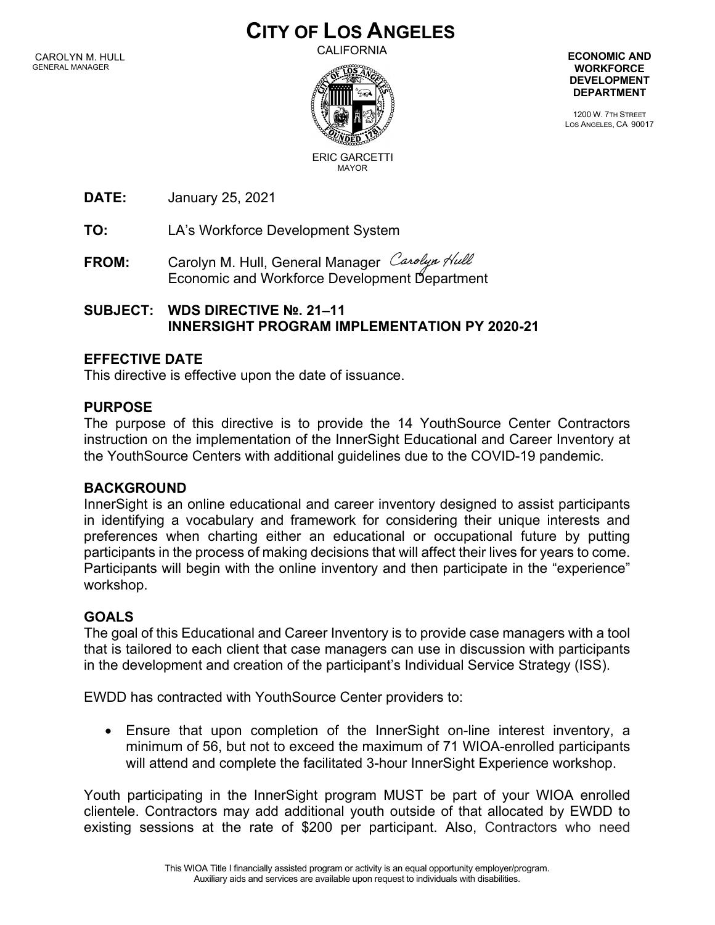# **CITY OF LOS ANGELES**

CALIFORNIA



**ECONOMIC AND WORKFORCE DEVELOPMENT DEPARTMENT**

1200 W. 7TH STREET LOS ANGELES, CA 90017

ERIC GARCETTIMAYOR

**DATE:** January 25, 2021

**TO:** LA's Workforce Development System

FROM: Carolyn M. Hull, General Manager Carolyn Hull Economic and Workforce Development Department

## **SUBJECT: WDS DIRECTIVE №. 21–11 INNERSIGHT PROGRAM IMPLEMENTATION PY 2020-21**

### **EFFECTIVE DATE**

This directive is effective upon the date of issuance.

### **PURPOSE**

The purpose of this directive is to provide the 14 YouthSource Center Contractors instruction on the implementation of the InnerSight Educational and Career Inventory at the YouthSource Centers with additional guidelines due to the COVID-19 pandemic.

### **BACKGROUND**

InnerSight is an online educational and career inventory designed to assist participants in identifying a vocabulary and framework for considering their unique interests and preferences when charting either an educational or occupational future by putting participants in the process of making decisions that will affect their lives for years to come. Participants will begin with the online inventory and then participate in the "experience" workshop.

### **GOALS**

The goal of this Educational and Career Inventory is to provide case managers with a tool that is tailored to each client that case managers can use in discussion with participants in the development and creation of the participant's Individual Service Strategy (ISS).

EWDD has contracted with YouthSource Center providers to:

• Ensure that upon completion of the InnerSight on-line interest inventory, a minimum of 56, but not to exceed the maximum of 71 WIOA-enrolled participants will attend and complete the facilitated 3-hour InnerSight Experience workshop.

Youth participating in the InnerSight program MUST be part of your WIOA enrolled clientele. Contractors may add additional youth outside of that allocated by EWDD to existing sessions at the rate of \$200 per participant. Also, Contractors who need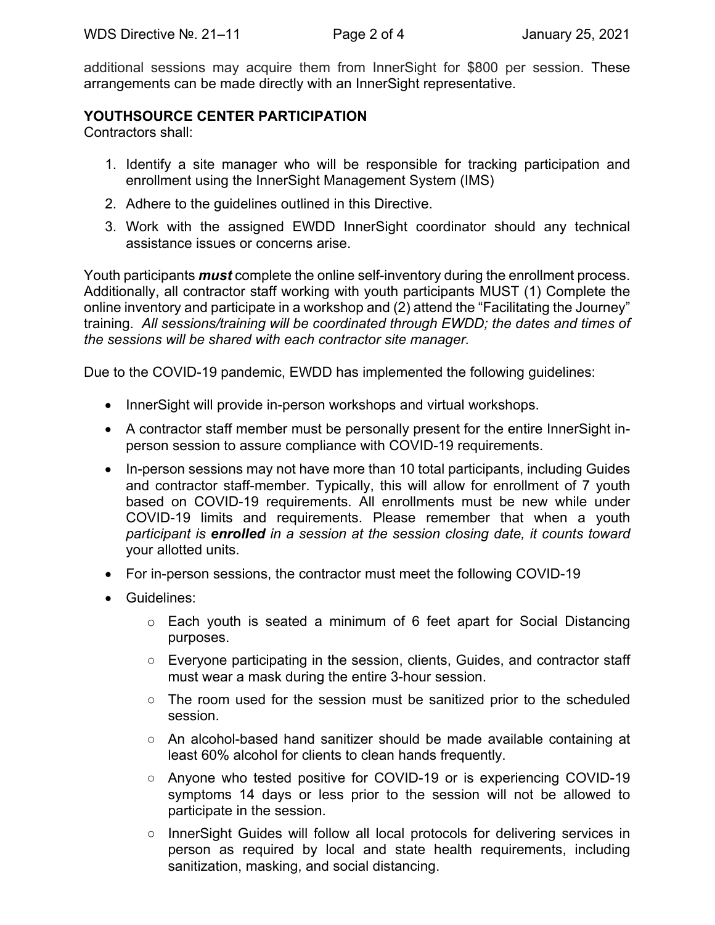additional sessions may acquire them from InnerSight for \$800 per session. These arrangements can be made directly with an InnerSight representative.

#### **YOUTHSOURCE CENTER PARTICIPATION**

Contractors shall:

- 1. Identify a site manager who will be responsible for tracking participation and enrollment using the InnerSight Management System (IMS)
- 2. Adhere to the guidelines outlined in this Directive.
- 3. Work with the assigned EWDD InnerSight coordinator should any technical assistance issues or concerns arise.

Youth participants *must* complete the online self-inventory during the enrollment process. Additionally, all contractor staff working with youth participants MUST (1) Complete the online inventory and participate in a workshop and (2) attend the "Facilitating the Journey" training. *All sessions/training will be coordinated through EWDD; the dates and times of the sessions will be shared with each contractor site manager.*

Due to the COVID-19 pandemic, EWDD has implemented the following guidelines:

- InnerSight will provide in-person workshops and virtual workshops.
- A contractor staff member must be personally present for the entire InnerSight inperson session to assure compliance with COVID-19 requirements.
- In-person sessions may not have more than 10 total participants, including Guides and contractor staff-member. Typically, this will allow for enrollment of 7 youth based on COVID-19 requirements. All enrollments must be new while under COVID-19 limits and requirements. Please remember that when a youth *participant is enrolled in a session at the session closing date, it counts toward* your allotted units.
- For in-person sessions, the contractor must meet the following COVID-19
- Guidelines:
	- o Each youth is seated a minimum of 6 feet apart for Social Distancing purposes.
	- Everyone participating in the session, clients, Guides, and contractor staff must wear a mask during the entire 3-hour session.
	- The room used for the session must be sanitized prior to the scheduled session.
	- An alcohol-based hand sanitizer should be made available containing at least 60% alcohol for clients to clean hands frequently.
	- Anyone who tested positive for COVID-19 or is experiencing COVID-19 symptoms 14 days or less prior to the session will not be allowed to participate in the session.
	- InnerSight Guides will follow all local protocols for delivering services in person as required by local and state health requirements, including sanitization, masking, and social distancing.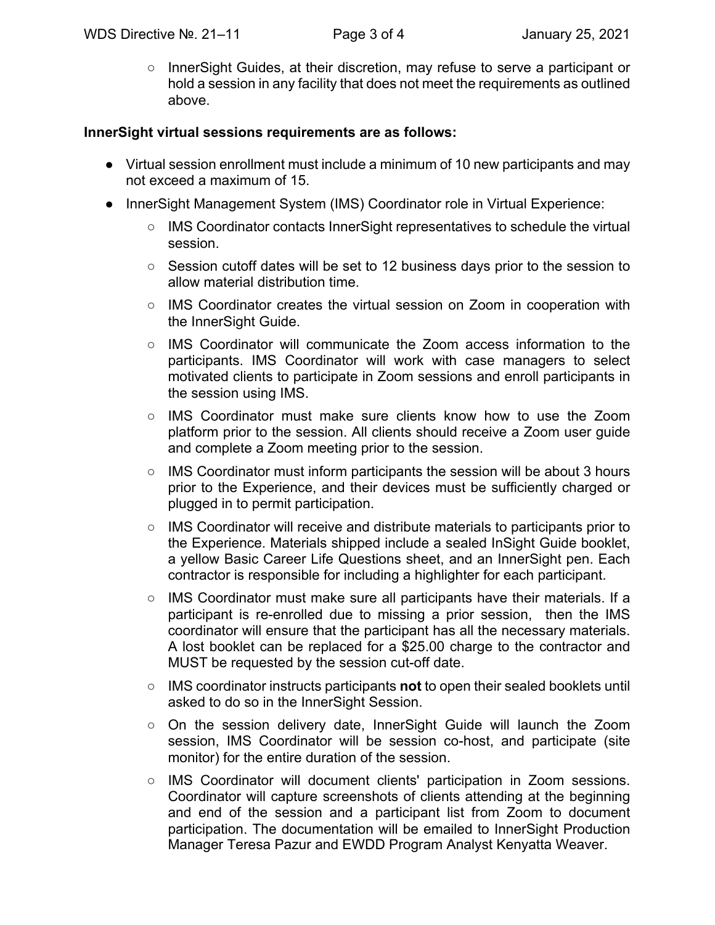○ InnerSight Guides, at their discretion, may refuse to serve a participant or hold a session in any facility that does not meet the requirements as outlined above.

#### **InnerSight virtual sessions requirements are as follows:**

- Virtual session enrollment must include a minimum of 10 new participants and may not exceed a maximum of 15.
- InnerSight Management System (IMS) Coordinator role in Virtual Experience:
	- IMS Coordinator contacts InnerSight representatives to schedule the virtual session.
	- Session cutoff dates will be set to 12 business days prior to the session to allow material distribution time.
	- IMS Coordinator creates the virtual session on Zoom in cooperation with the InnerSight Guide.
	- $\circ$  IMS Coordinator will communicate the Zoom access information to the participants. IMS Coordinator will work with case managers to select motivated clients to participate in Zoom sessions and enroll participants in the session using IMS.
	- IMS Coordinator must make sure clients know how to use the Zoom platform prior to the session. All clients should receive a Zoom user guide and complete a Zoom meeting prior to the session.
	- $\circ$  IMS Coordinator must inform participants the session will be about 3 hours prior to the Experience, and their devices must be sufficiently charged or plugged in to permit participation.
	- IMS Coordinator will receive and distribute materials to participants prior to the Experience. Materials shipped include a sealed InSight Guide booklet, a yellow Basic Career Life Questions sheet, and an InnerSight pen. Each contractor is responsible for including a highlighter for each participant.
	- IMS Coordinator must make sure all participants have their materials. If a participant is re-enrolled due to missing a prior session, then the IMS coordinator will ensure that the participant has all the necessary materials. A lost booklet can be replaced for a \$25.00 charge to the contractor and MUST be requested by the session cut-off date.
	- IMS coordinator instructs participants **not** to open their sealed booklets until asked to do so in the InnerSight Session.
	- On the session delivery date, InnerSight Guide will launch the Zoom session, IMS Coordinator will be session co-host, and participate (site monitor) for the entire duration of the session.
	- IMS Coordinator will document clients' participation in Zoom sessions. Coordinator will capture screenshots of clients attending at the beginning and end of the session and a participant list from Zoom to document participation. The documentation will be emailed to InnerSight Production Manager Teresa Pazur and EWDD Program Analyst Kenyatta Weaver.